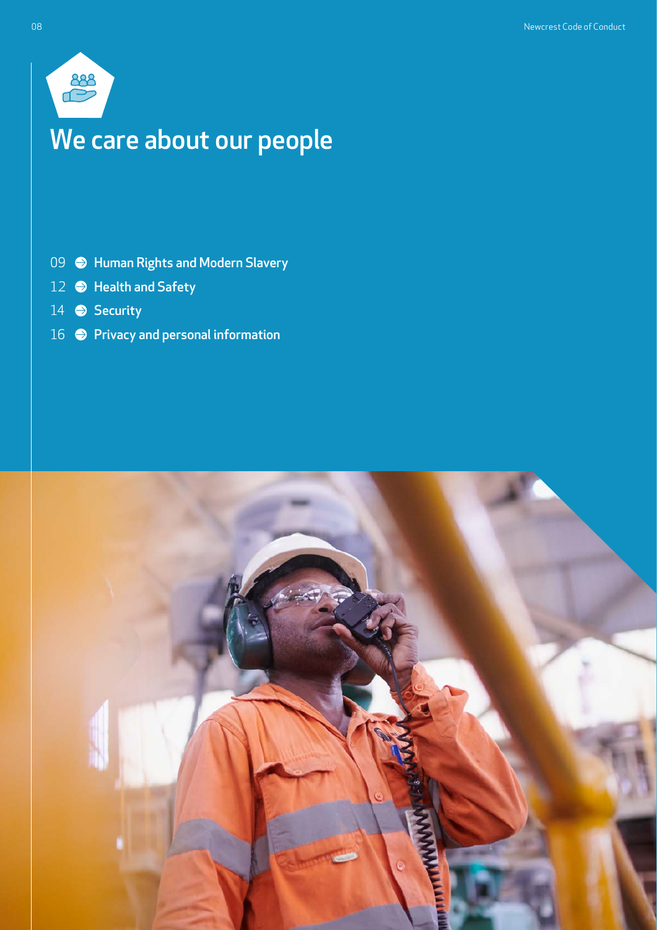

# We care about our people

- 09  $\bigcirc$  [Human Rights and Modern Slavery](#page-1-0)
- [Health and Safety](#page-4-0)
- [Security](#page-6-0)
- **•** [Privacy and personal information](#page-8-0)

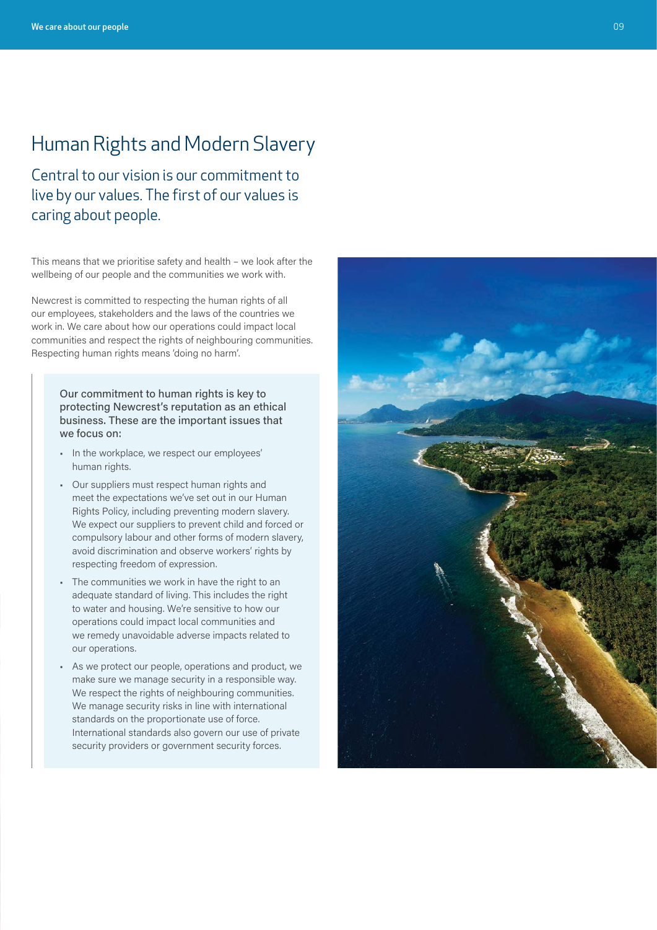# <span id="page-1-0"></span>Human Rights and Modern Slavery

Central to our vision is our commitment to live by our values. The first of our values is caring about people.

This means that we prioritise safety and health – we look after the wellbeing of our people and the communities we work with.

Newcrest is committed to respecting the human rights of all our employees, stakeholders and the laws of the countries we work in. We care about how our operations could impact local communities and respect the rights of neighbouring communities. Respecting human rights means 'doing no harm'.

Our commitment to human rights is key to protecting Newcrest's reputation as an ethical business. These are the important issues that we focus on:

- In the workplace, we respect our employees' human rights.
- Our suppliers must respect human rights and meet the expectations we've set out in our Human Rights Policy, including preventing modern slavery. We expect our suppliers to prevent child and forced or compulsory labour and other forms of modern slavery, avoid discrimination and observe workers' rights by respecting freedom of expression.
- The communities we work in have the right to an adequate standard of living. This includes the right to water and housing. We're sensitive to how our operations could impact local communities and we remedy unavoidable adverse impacts related to our operations.
- As we protect our people, operations and product, we make sure we manage security in a responsible way. We respect the rights of neighbouring communities. We manage security risks in line with international standards on the proportionate use of force. International standards also govern our use of private security providers or government security forces.

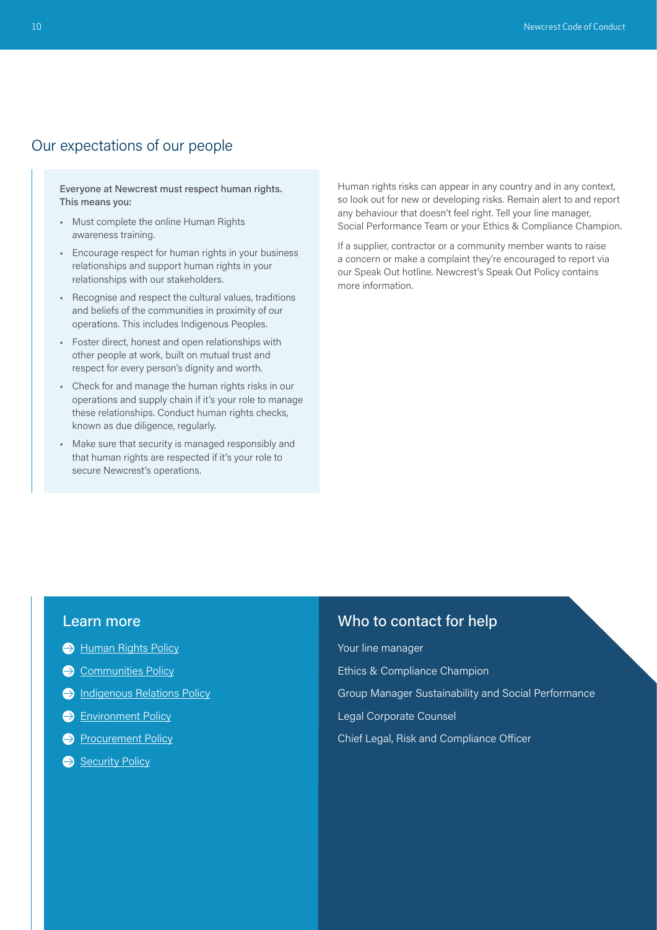## Our expectations of our people

Everyone at Newcrest must respect human rights. This means you:

- Must complete the online Human Rights awareness training.
- Encourage respect for human rights in your business relationships and support human rights in your relationships with our stakeholders.
- Recognise and respect the cultural values, traditions and beliefs of the communities in proximity of our operations. This includes Indigenous Peoples.
- Foster direct, honest and open relationships with other people at work, built on mutual trust and respect for every person's dignity and worth.
- Check for and manage the human rights risks in our operations and supply chain if it's your role to manage these relationships. Conduct human rights checks, known as due diligence, regularly.
- Make sure that security is managed responsibly and that human rights are respected if it's your role to secure Newcrest's operations.

Human rights risks can appear in any country and in any context, so look out for new or developing risks. Remain alert to and report any behaviour that doesn't feel right. Tell your line manager, Social Performance Team or your Ethics & Compliance Champion.

If a supplier, contractor or a community member wants to raise a concern or make a complaint they're encouraged to report via our Speak Out hotline. Newcrest's Speak Out Policy contains more information.

### Learn more

- **[Human Rights Policy](https://www.newcrest.com/sites/default/files/2020-10/Newcrest%20Human%20Rights%20Policy.pdf)**
- [Communities Policy](https://www.newcrest.com/sites/default/files/2019-11/191003_Newcrest%20Communities%20Policy.pdf)
- **[Indigenous Relations Policy](https://www.newcrest.com/sites/default/files/2019-10/1803_Newcrest%20Indigenous%20Relations%20Policy.pdf)**
- **[Environment Policy](https://www.newcrest.com/sites/default/files/2019-10/1706_Newcrest%20Environmental%20Policy.pdf)**
- **[Procurement Policy](https://newcrestmining.sharepoint.com/sites/portal/Documents/Commercial/Procurement%20Policy%20April%2022.pdf)**
- [Security Policy](https://www.newcrest.com/sites/default/files/2019-10/1306_Newcrest%20Security%20Policy.pdf)

## Who to contact for help

Your line manager Ethics & Compliance Champion Group Manager Sustainability and Social Performance Legal Corporate Counsel Chief Legal, Risk and Compliance Officer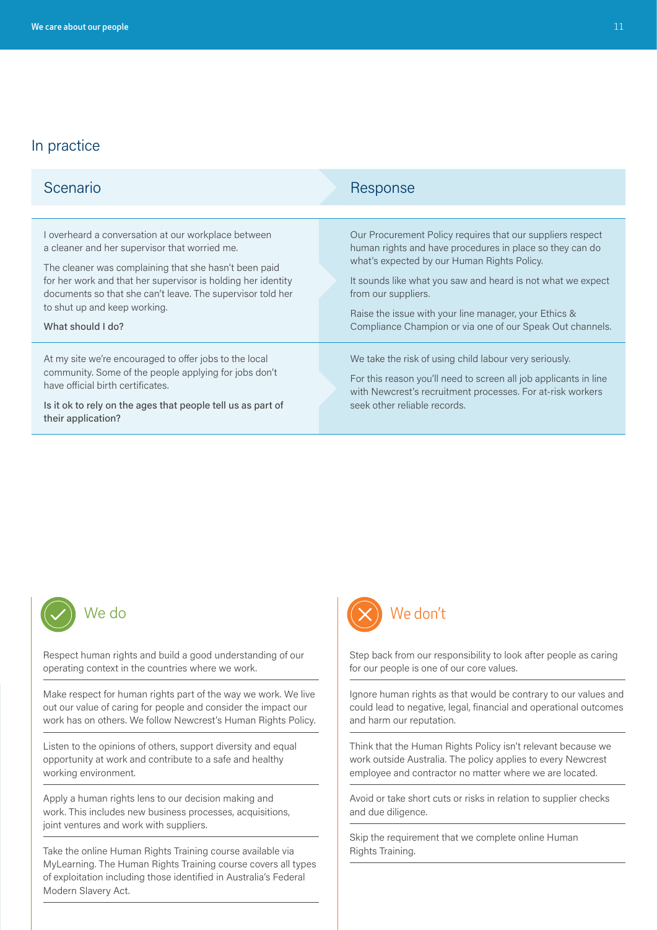| Scenario                                                                                                                                                                                                                                                                                                                                         | Response                                                                                                                                                                                                                                                                                                                                                                          |
|--------------------------------------------------------------------------------------------------------------------------------------------------------------------------------------------------------------------------------------------------------------------------------------------------------------------------------------------------|-----------------------------------------------------------------------------------------------------------------------------------------------------------------------------------------------------------------------------------------------------------------------------------------------------------------------------------------------------------------------------------|
|                                                                                                                                                                                                                                                                                                                                                  |                                                                                                                                                                                                                                                                                                                                                                                   |
| I overheard a conversation at our workplace between<br>a cleaner and her supervisor that worried me.<br>The cleaner was complaining that she hasn't been paid<br>for her work and that her supervisor is holding her identity<br>documents so that she can't leave. The supervisor told her<br>to shut up and keep working.<br>What should I do? | Our Procurement Policy requires that our suppliers respect<br>human rights and have procedures in place so they can do<br>what's expected by our Human Rights Policy.<br>It sounds like what you saw and heard is not what we expect<br>from our suppliers.<br>Raise the issue with your line manager, your Ethics &<br>Compliance Champion or via one of our Speak Out channels. |
| At my site we're encouraged to offer jobs to the local<br>community. Some of the people applying for jobs don't<br>have official birth certificates.<br>Is it ok to rely on the ages that people tell us as part of<br>their application?                                                                                                        | We take the risk of using child labour very seriously.<br>For this reason you'll need to screen all job applicants in line<br>with Newcrest's recruitment processes. For at-risk workers<br>seek other reliable records.                                                                                                                                                          |



Respect human rights and build a good understanding of our operating context in the countries where we work.

Make respect for human rights part of the way we work. We live out our value of caring for people and consider the impact our work has on others. We follow Newcrest's Human Rights Policy.

Listen to the opinions of others, support diversity and equal opportunity at work and contribute to a safe and healthy working environment.

Apply a human rights lens to our decision making and work. This includes new business processes, acquisitions, joint ventures and work with suppliers.

Take the online Human Rights Training course available via MyLearning. The Human Rights Training course covers all types of exploitation including those identified in Australia's Federal Modern Slavery Act.



Step back from our responsibility to look after people as caring for our people is one of our core values.

Ignore human rights as that would be contrary to our values and could lead to negative, legal, financial and operational outcomes and harm our reputation.

Think that the Human Rights Policy isn't relevant because we work outside Australia. The policy applies to every Newcrest employee and contractor no matter where we are located.

Avoid or take short cuts or risks in relation to supplier checks and due diligence.

Skip the requirement that we complete online Human Rights Training.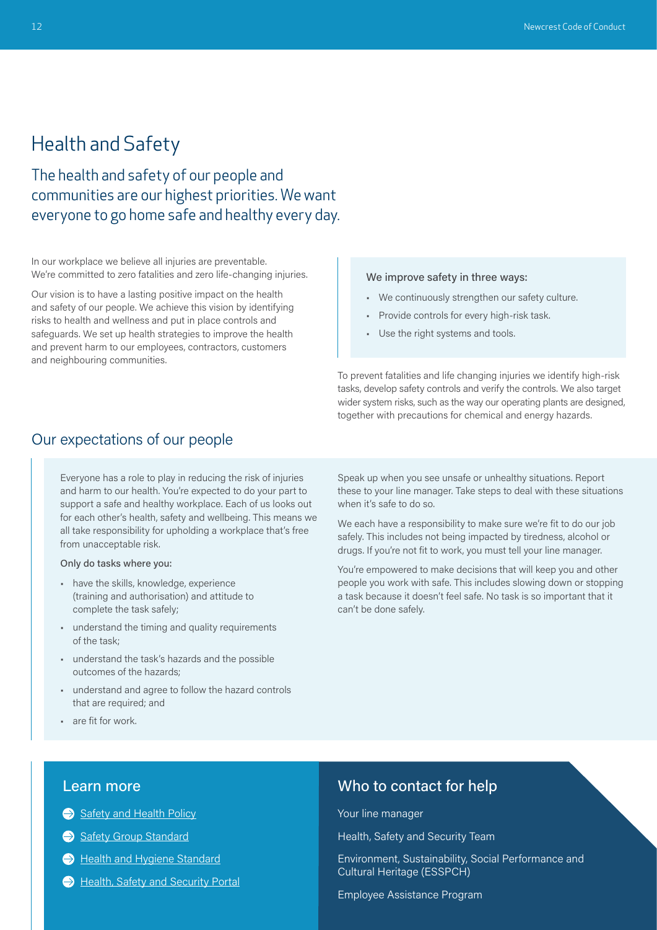## <span id="page-4-0"></span>Health and Safety

The health and safety of our people and communities are our highest priorities. We want everyone to go home safe and healthy every day.

In our workplace we believe all injuries are preventable. We're committed to zero fatalities and zero life-changing injuries.

Our vision is to have a lasting positive impact on the health and safety of our people. We achieve this vision by identifying risks to health and wellness and put in place controls and safeguards. We set up health strategies to improve the health and prevent harm to our employees, contractors, customers and neighbouring communities.

### We improve safety in three ways:

- We continuously strengthen our safety culture.
- Provide controls for every high-risk task.
- Use the right systems and tools.

To prevent fatalities and life changing injuries we identify high-risk tasks, develop safety controls and verify the controls. We also target wider system risks, such as the way our operating plants are designed, together with precautions for chemical and energy hazards.

## Our expectations of our people

Everyone has a role to play in reducing the risk of injuries and harm to our health. You're expected to do your part to support a safe and healthy workplace. Each of us looks out for each other's health, safety and wellbeing. This means we all take responsibility for upholding a workplace that's free from unacceptable risk.

Only do tasks where you:

- have the skills, knowledge, experience (training and authorisation) and attitude to complete the task safely;
- understand the timing and quality requirements of the task;
- understand the task's hazards and the possible outcomes of the hazards;
- understand and agree to follow the hazard controls that are required; and
- are fit for work.

Speak up when you see unsafe or unhealthy situations. Report these to your line manager. Take steps to deal with these situations when it's safe to do so.

We each have a responsibility to make sure we're fit to do our job safely. This includes not being impacted by tiredness, alcohol or drugs. If you're not fit to work, you must tell your line manager.

You're empowered to make decisions that will keep you and other people you work with safe. This includes slowing down or stopping a task because it doesn't feel safe. No task is so important that it can't be done safely.

## Learn more

- [Safety and Health Policy](https://www.newcrest.com/sites/default/files/2019-10/1604_Newcrest%20Safety%20and%20Health%20Policy.pdf)
- [Safety Group Standard](https://newcrestmining.sharepoint.com/sites/portal/Documents/HSES/Safety%20Group%20Standard.pdf)
- [Health and Hygiene Standard](https://newcrestmining.sharepoint.com/sites/portal/Documents/HSES/HH%20ST%2012%20Occupational%20Health%20and%20Hygiene.pdf)
- Health, Safety and Security Portal

## Who to contact for help

Your line manager

Health, Safety and Security Team

Environment, Sustainability, Social Performance and Cultural Heritage (ESSPCH)

Employee Assistance Program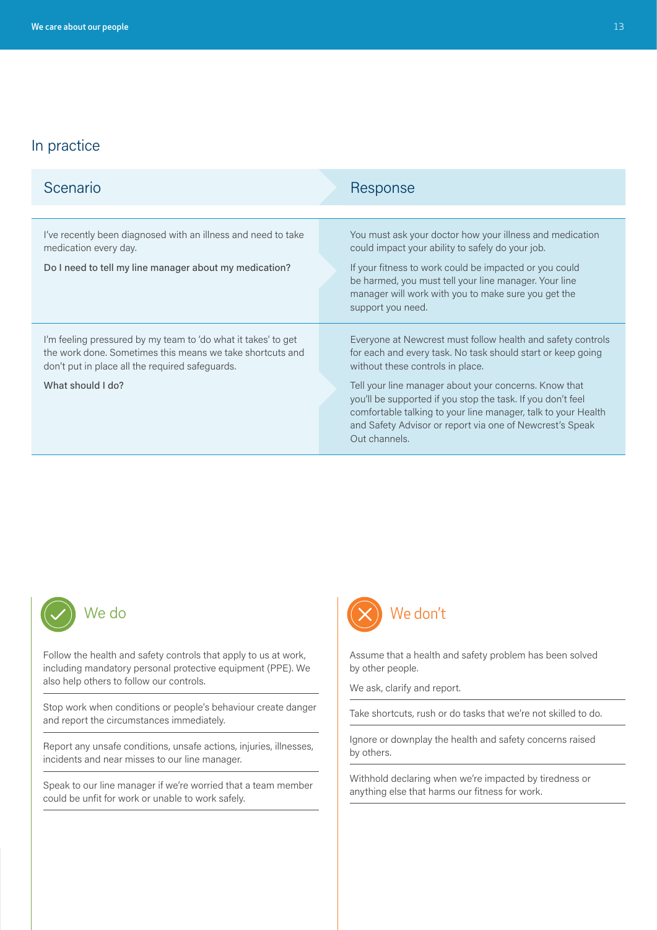| Scenario                                                                                                                                                                                           | Response                                                                                                                                                                                                                                                                                                                                                                                                                             |
|----------------------------------------------------------------------------------------------------------------------------------------------------------------------------------------------------|--------------------------------------------------------------------------------------------------------------------------------------------------------------------------------------------------------------------------------------------------------------------------------------------------------------------------------------------------------------------------------------------------------------------------------------|
|                                                                                                                                                                                                    |                                                                                                                                                                                                                                                                                                                                                                                                                                      |
| I've recently been diagnosed with an illness and need to take<br>medication every day.<br>Do I need to tell my line manager about my medication?                                                   | You must ask your doctor how your illness and medication<br>could impact your ability to safely do your job.<br>If your fitness to work could be impacted or you could<br>be harmed, you must tell your line manager. Your line<br>manager will work with you to make sure you get the<br>support you need.                                                                                                                          |
| I'm feeling pressured by my team to 'do what it takes' to get<br>the work done. Sometimes this means we take shortcuts and<br>don't put in place all the required safeguards.<br>What should I do? | Everyone at Newcrest must follow health and safety controls<br>for each and every task. No task should start or keep going<br>without these controls in place.<br>Tell your line manager about your concerns. Know that<br>you'll be supported if you stop the task. If you don't feel<br>comfortable talking to your line manager, talk to your Health<br>and Safety Advisor or report via one of Newcrest's Speak<br>Out channels. |



Follow the health and safety controls that apply to us at work, including mandatory personal protective equipment (PPE). We also help others to follow our controls.

Stop work when conditions or people's behaviour create danger and report the circumstances immediately.

Report any unsafe conditions, unsafe actions, injuries, illnesses, incidents and near misses to our line manager.

Speak to our line manager if we're worried that a team member could be unfit for work or unable to work safely.



Assume that a health and safety problem has been solved by other people.

We ask, clarify and report.

Take shortcuts, rush or do tasks that we're not skilled to do.

Ignore or downplay the health and safety concerns raised by others.

Withhold declaring when we're impacted by tiredness or anything else that harms our fitness for work.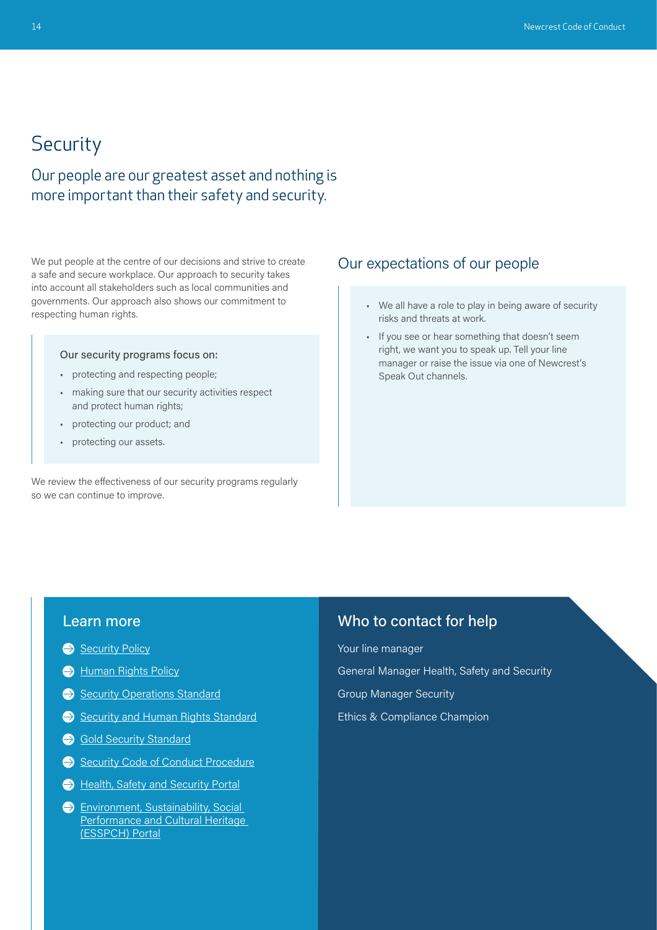# <span id="page-6-0"></span>**Security**

Our people are our greatest asset and nothing is more important than their safety and security.

We put people at the centre of our decisions and strive to create a safe and secure workplace. Our approach to security takes into account all stakeholders such as local communities and governments. Our approach also shows our commitment to respecting human rights.

### Our security programs focus on:

- protecting and respecting people;
- making sure that our security activities respect and protect human rights;
- protecting our product; and
- protecting our assets.

We review the effectiveness of our security programs regularly so we can continue to improve.

## Our expectations of our people

- We all have a role to play in being aware of security risks and threats at work.
- If you see or hear something that doesn't seem right, we want you to speak up. Tell your line manager or raise the issue via one of Newcrest's Speak Out channels.

## Learn more

- [Security Policy](https://www.newcrest.com/sites/default/files/2019-10/1306_Newcrest%20Security%20Policy.pdf)
- [Human Rights Policy](https://www.newcrest.com/sites/default/files/2020-10/Newcrest%20Human%20Rights%20Policy.pdf)
- [Security Operations Standard](https://newcrestmining.sharepoint.com/sites/portal/Documents/HSES/100-900-SEC-ST-01%20Security%20Operations.pdf)
- [Security and Human Rights Standard](https://newcrestmining.sharepoint.com/sites/portal/Documents/HSES/100-900-SEC-ST-02%20Security%20and%20Human%20Rights.pdf)
- [Gold Security Standard](https://newcrestmining.sharepoint.com/sites/portal/workplace-web/hses/Pages/Gold-Security-Standard-(restricted).aspx)
- [Security Code of Conduct Procedure](https://newcrestmining.sharepoint.com/sites/portal/Documents/HSES/NML%20SEC-PRO-04%20Security%20Code%20of%20Conduct.pdf)
- Health, Safety and Security Portal
- **Environment, Sustainability, Social** Performance and Cultural Heritage [\(ESSPCH\) Portal](https://newcrestmining.sharepoint.com/sites/portal/workplace/health-safety-environment-security)

## Who to contact for help

Your line manager

General Manager Health, Safety and Security

Group Manager Security

Ethics & Compliance Champion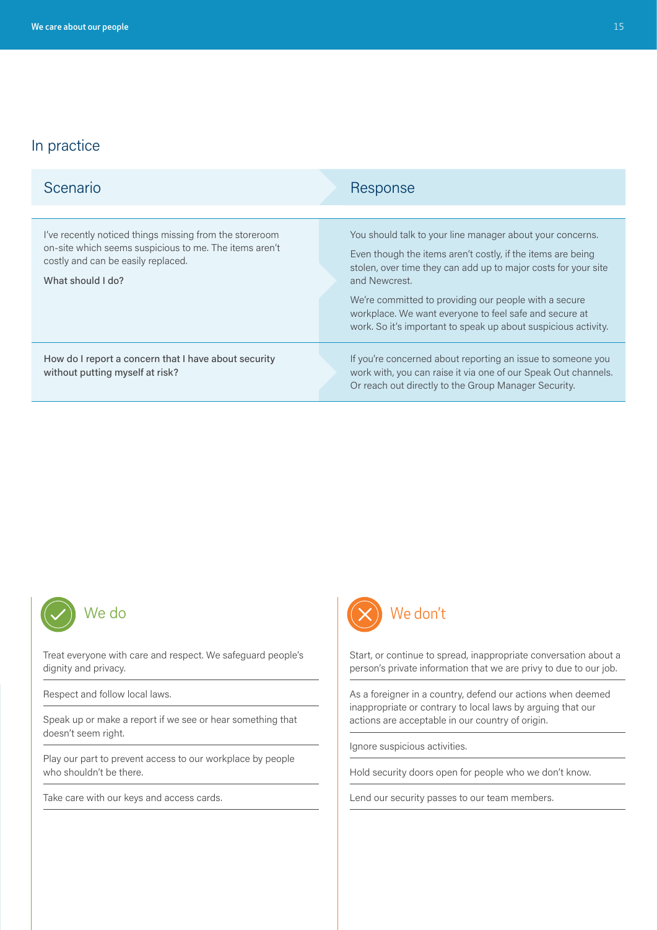| Scenario                                                                                                                                                                     | Response                                                                                                                                                                              |
|------------------------------------------------------------------------------------------------------------------------------------------------------------------------------|---------------------------------------------------------------------------------------------------------------------------------------------------------------------------------------|
| I've recently noticed things missing from the storeroom<br>on-site which seems suspicious to me. The items aren't<br>costly and can be easily replaced.<br>What should I do? | You should talk to your line manager about your concerns.                                                                                                                             |
|                                                                                                                                                                              | Even though the items aren't costly, if the items are being<br>stolen, over time they can add up to major costs for your site<br>and Newcrest.                                        |
|                                                                                                                                                                              | We're committed to providing our people with a secure<br>workplace. We want everyone to feel safe and secure at<br>work. So it's important to speak up about suspicious activity.     |
| How do I report a concern that I have about security<br>without putting myself at risk?                                                                                      | If you're concerned about reporting an issue to someone you<br>work with, you can raise it via one of our Speak Out channels.<br>Or reach out directly to the Group Manager Security. |



Treat everyone with care and respect. We safeguard people's dignity and privacy.

Respect and follow local laws.

Speak up or make a report if we see or hear something that doesn't seem right.

Play our part to prevent access to our workplace by people who shouldn't be there.

Take care with our keys and access cards.



Start, or continue to spread, inappropriate conversation about a person's private information that we are privy to due to our job.

As a foreigner in a country, defend our actions when deemed inappropriate or contrary to local laws by arguing that our actions are acceptable in our country of origin.

Ignore suspicious activities.

Hold security doors open for people who we don't know.

Lend our security passes to our team members.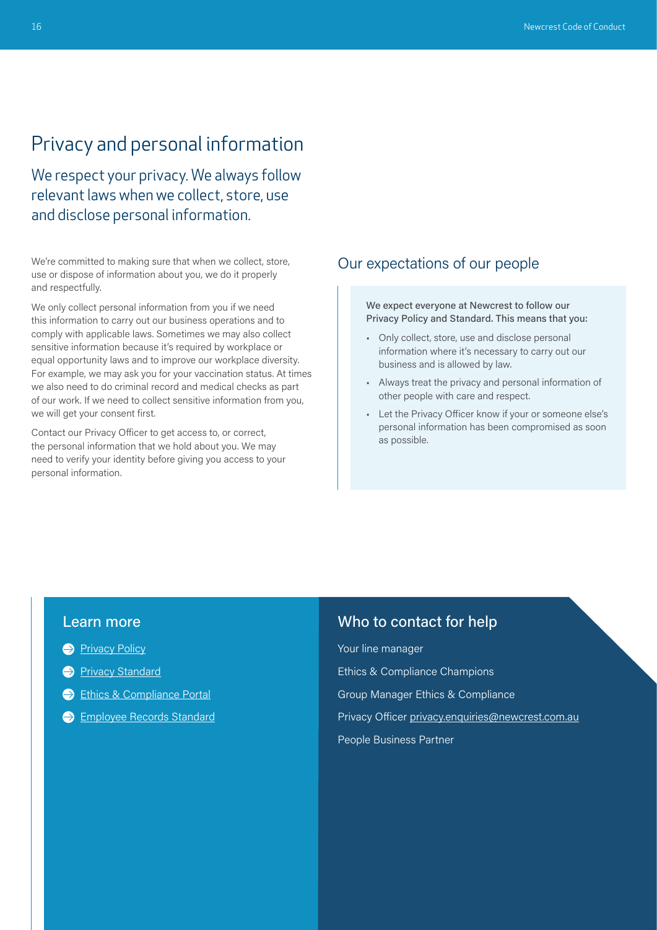# <span id="page-8-0"></span>Privacy and personal information

We respect your privacy. We always follow relevant laws when we collect, store, use and disclose personal information.

We're committed to making sure that when we collect, store, use or dispose of information about you, we do it properly and respectfully.

We only collect personal information from you if we need this information to carry out our business operations and to comply with applicable laws. Sometimes we may also collect sensitive information because it's required by workplace or equal opportunity laws and to improve our workplace diversity. For example, we may ask you for your vaccination status. At times we also need to do criminal record and medical checks as part of our work. If we need to collect sensitive information from you, we will get your consent first.

Contact our Privacy Officer to get access to, or correct, the personal information that we hold about you. We may need to verify your identity before giving you access to your personal information.

## Our expectations of our people

### We expect everyone at Newcrest to follow our Privacy Policy and Standard. This means that you:

- Only collect, store, use and disclose personal information where it's necessary to carry out our business and is allowed by law.
- Always treat the privacy and personal information of other people with care and respect.
- Let the Privacy Officer know if your or someone else's personal information has been compromised as soon as possible.

## Learn more

- **[Privacy Policy](https://www.newcrest.com/sites/default/files/2022-04/Privacy%20Policy_0.pdf)**
- **[Privacy Standard](https://newcrestmining.sharepoint.com/sites/portal/Documents/Legal%20Risk%20&%20Compliance/Privacy%20Group%20Standard.pdf)**
- [Ethics & Compliance Portal](https://newcrestmining.sharepoint.com/sites/portal/workplace/lrc/ethics-compliance?OR=Teams-HL&CT=1627960440207)
- **[Employee Records Standard](https://newcrestmining.sharepoint.com/sites/portal/Documents/Human%20Resources/HR-ST-111%20Employee%20Records%20Standard.pdf)**

## Who to contact for help

Your line manager Ethics & Compliance Champions Group Manager Ethics & Compliance Privacy Officer privacy.enquiries@newcrest.com.au People Business Partner